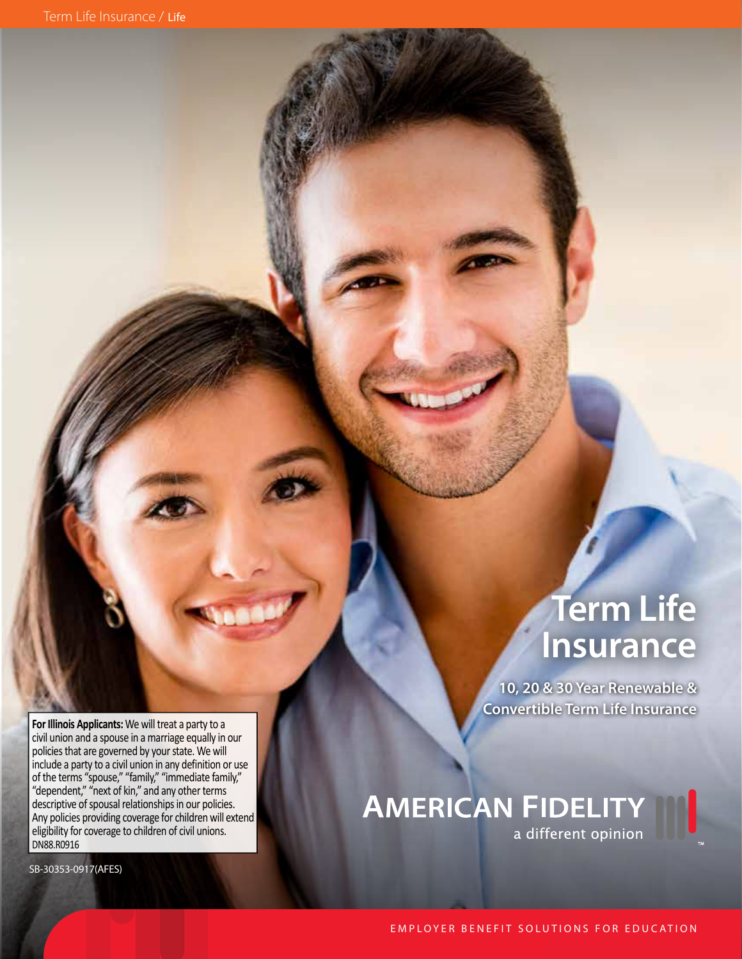**Term Life Insurance**

**10, 20 & 30 Year Renewable & Convertible Term Life Insurance**

**For Illinois Applicants:** We will treat a party to a civil union and a spouse in a marriage equally in our policies that are governed by your state. We will include a party to a civil union in any definition or use of the terms "spouse," "family," "immediate family," "dependent," "next of kin," and any other terms descriptive of spousal relationships in our policies. Any policies providing coverage for children will extend eligibility for coverage to children of civil unions. DN88.R0916

SB-30353-0917(AFES)

**AMERICAN FIDELITY** a different opinion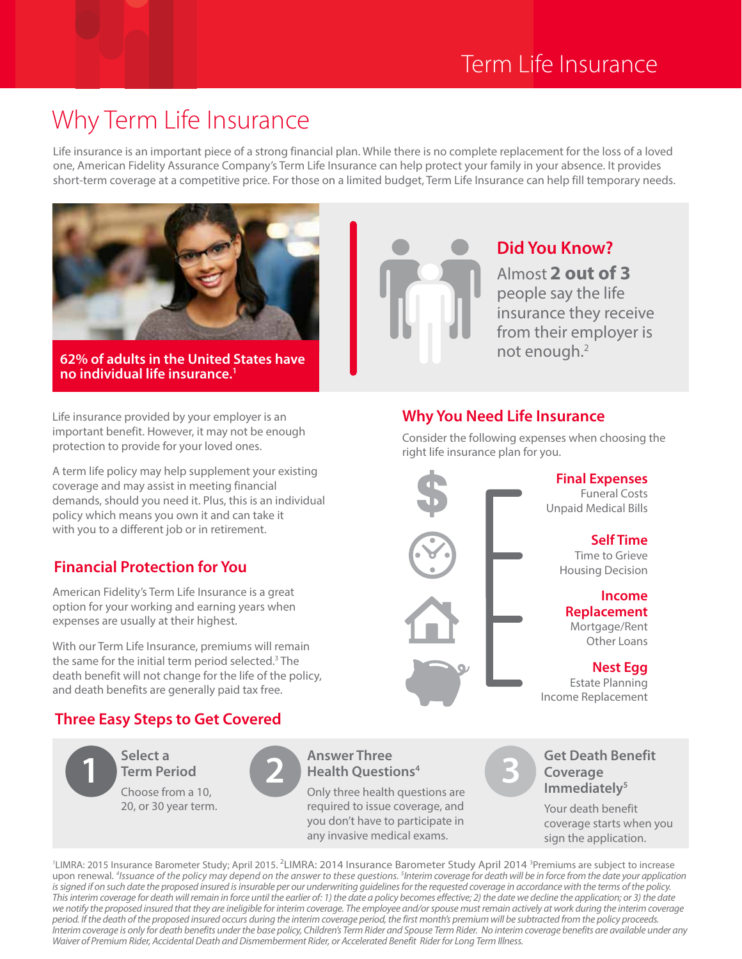# Term Life Insurance

**Did You Know?**

Almost **2 out of 3** people say the life

insurance they receive from their employer is

# Why Term Life Insurance

Life insurance is an important piece of a strong financial plan. While there is no complete replacement for the loss of a loved one, American Fidelity Assurance Company's Term Life Insurance can help protect your family in your absence. It provides short-term coverage at a competitive price. For those on a limited budget, Term Life Insurance can help fill temporary needs.



**62% of adults in the United States have no individual life insurance.1**

Life insurance provided by your employer is an important benefit. However, it may not be enough protection to provide for your loved ones.

A term life policy may help supplement your existing coverage and may assist in meeting financial demands, should you need it. Plus, this is an individual policy which means you own it and can take it with you to a different job or in retirement.

# **Financial Protection for You**

American Fidelity's Term Life Insurance is a great option for your working and earning years when expenses are usually at their highest.

With our Term Life Insurance, premiums will remain the same for the initial term period selected.<sup>3</sup> The death benefit will not change for the life of the policy, and death benefits are generally paid tax free.

# **Three Easy Steps to Get Covered**

**Select a Term Period** Choose from a 10, 20, or 30 year term. **1 2 3**

# **Answer Three Health Questions4**

Only three health questions are required to issue coverage, and you don't have to participate in any invasive medical exams.



## **Get Death Benefit Coverage Immediately5**

**Nest Egg** Estate Planning

**Income** 

**Self Time** Time to Grieve

Funeral Costs

**Replacement** Mortgage/Rent Other Loans

Your death benefit coverage starts when you sign the application.

<sup>2</sup>LIMRA: 2015 Insurance Barometer Study; April 2015. <sup>2</sup>LIMRA: 2014 Insurance Barometer Study April 2014 <sup>3</sup>Premiums are subject to increase upon renewal. *<sup>4</sup> Issuance of the policy may depend on the answer to these questions. 5 Interim coverage for death will be in force from the date your application is signed if on such date the proposed insured is insurable per our underwriting guidelines for the requested coverage in accordance with the terms of the policy. This interim coverage for death will remain in force until the earlier of: 1) the date a policy becomes effective; 2) the date we decline the application; or 3) the date we notify the proposed insured that they are ineligible for interim coverage. The employee and/or spouse must remain actively at work during the interim coverage period. If the death of the proposed insured occurs during the interim coverage period, the first month's premium will be subtracted from the policy proceeds. Interim coverage is only for death benefits under the base policy, Children's Term Rider and Spouse Term Rider. No interim coverage benefits are available under any Waiver of Premium Rider, Accidental Death and Dismemberment Rider, or Accelerated Benefit Rider for Long Term Illness.*



Consider the following expenses when choosing the right life insurance plan for you.

not enough.2

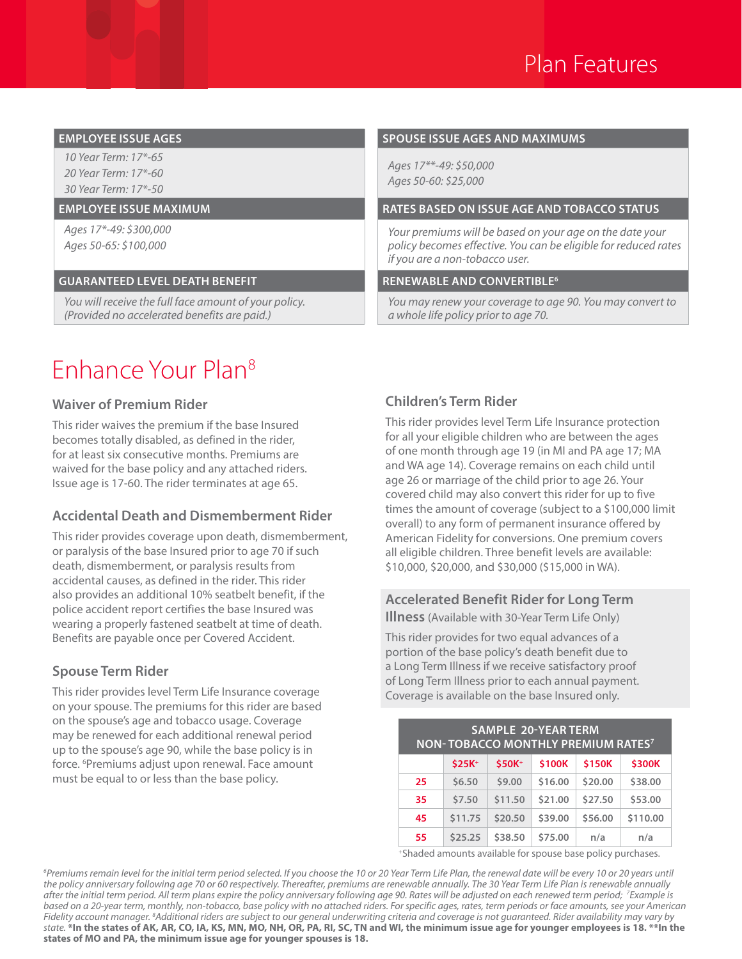

*10 Year Term: 17\*-65 20 Year Term: 17\*-60 30 Year Term: 17\*-50*

*Ages 17\*-49: \$300,000 Ages 50-65: \$100,000*

### **GUARANTEED LEVEL DEATH BENEFIT RENEWABLE AND CONVERTIBLE6**

*You will receive the full face amount of your policy. (Provided no accelerated benefits are paid.)*

### **EMPLOYEE ISSUE AGES SPOUSE ISSUE AGES AND MAXIMUMS**

*Ages 17\*\*-49: \$50,000 Ages 50-60: \$25,000*

### **EMPLOYEE ISSUE MAXIMUM RATES BASED ON ISSUE AGE AND TOBACCO STATUS**

*Your premiums will be based on your age on the date your policy becomes effective. You can be eligible for reduced rates if you are a non-tobacco user.*

*You may renew your coverage to age 90. You may convert to a whole life policy prior to age 70.* 

# Enhance Your Plan8

### **Waiver of Premium Rider**

This rider waives the premium if the base Insured becomes totally disabled, as defined in the rider, for at least six consecutive months. Premiums are waived for the base policy and any attached riders. Issue age is 17-60. The rider terminates at age 65.

### **Accidental Death and Dismemberment Rider**

This rider provides coverage upon death, dismemberment, or paralysis of the base Insured prior to age 70 if such death, dismemberment, or paralysis results from accidental causes, as defined in the rider. This rider also provides an additional 10% seatbelt benefit, if the police accident report certifies the base Insured was wearing a properly fastened seatbelt at time of death. Benefits are payable once per Covered Accident.

### **Spouse Term Rider**

This rider provides level Term Life Insurance coverage on your spouse. The premiums for this rider are based on the spouse's age and tobacco usage. Coverage may be renewed for each additional renewal period up to the spouse's age 90, while the base policy is in force. 6 Premiums adjust upon renewal. Face amount must be equal to or less than the base policy.

### **Children's Term Rider**

This rider provides level Term Life Insurance protection for all your eligible children who are between the ages of one month through age 19 (in MI and PA age 17; MA and WA age 14). Coverage remains on each child until age 26 or marriage of the child prior to age 26. Your covered child may also convert this rider for up to five times the amount of coverage (subject to a \$100,000 limit overall) to any form of permanent insurance offered by American Fidelity for conversions. One premium covers all eligible children. Three benefit levels are available: \$10,000, \$20,000, and \$30,000 (\$15,000 in WA).

### **Accelerated Benefit Rider for Long Term Illness** (Available with 30-Year Term Life Only)

This rider provides for two equal advances of a portion of the base policy's death benefit due to a Long Term Illness if we receive satisfactory proof of Long Term Illness prior to each annual payment. Coverage is available on the base Insured only.

| <b>SAMPLE 20-YEAR TERM</b><br>NON-TOBACCO MONTHLY PREMIUM RATES <sup>7</sup> |         |                    |         |         |          |
|------------------------------------------------------------------------------|---------|--------------------|---------|---------|----------|
|                                                                              | $$25K+$ | \$50K <sup>+</sup> | \$100K  | \$150K  | \$300K   |
| 25                                                                           | \$6.50  | \$9.00             | \$16.00 | \$20.00 | \$38.00  |
| 35                                                                           | \$7.50  | \$11.50            | \$21.00 | \$27.50 | \$53.00  |
| 45                                                                           | \$11.75 | \$20.50            | \$39.00 | \$56.00 | \$110.00 |
| 55                                                                           | \$25.25 | \$38.50            | \$75.00 | n/a     | n/a      |

+Shaded amounts available for spouse base policy purchases.

*6 Premiums remain level for the initial term period selected. If you choose the 10 or 20 Year Term Life Plan, the renewal date will be every 10 or 20 years until the policy anniversary following age 70 or 60 respectively. Thereafter, premiums are renewable annually. The 30 Year Term Life Plan is renewable annually after the initial term period. All term plans expire the policy anniversary following age 90. Rates will be adjusted on each renewed term period; 7 Example is based on a 20-year term, monthly, non-tobacco, base policy with no attached riders. For specific ages, rates, term periods or face amounts, see your American Fidelity account manager. 8 Additional riders are subject to our general underwriting criteria and coverage is not guaranteed. Rider availability may vary by state.* **\*In the states of AK, AR, CO, IA, KS, MN, MO, NH, OR, PA, RI, SC, TN and WI, the minimum issue age for younger employees is 18. \*\*In the states of MO and PA, the minimum issue age for younger spouses is 18.**